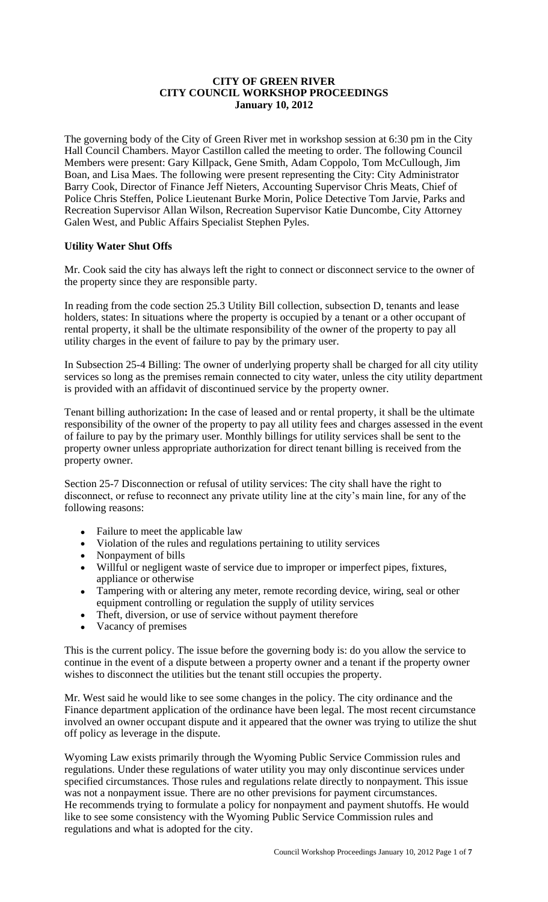# **CITY OF GREEN RIVER CITY COUNCIL WORKSHOP PROCEEDINGS January 10, 2012**

The governing body of the City of Green River met in workshop session at 6:30 pm in the City Hall Council Chambers. Mayor Castillon called the meeting to order. The following Council Members were present: Gary Killpack, Gene Smith, Adam Coppolo, Tom McCullough, Jim Boan, and Lisa Maes. The following were present representing the City: City Administrator Barry Cook, Director of Finance Jeff Nieters, Accounting Supervisor Chris Meats, Chief of Police Chris Steffen, Police Lieutenant Burke Morin, Police Detective Tom Jarvie, Parks and Recreation Supervisor Allan Wilson, Recreation Supervisor Katie Duncombe, City Attorney Galen West, and Public Affairs Specialist Stephen Pyles.

# **Utility Water Shut Offs**

Mr. Cook said the city has always left the right to connect or disconnect service to the owner of the property since they are responsible party.

In reading from the code section 25.3 Utility Bill collection, subsection D, tenants and lease holders, states: In situations where the property is occupied by a tenant or a other occupant of rental property, it shall be the ultimate responsibility of the owner of the property to pay all utility charges in the event of failure to pay by the primary user.

In Subsection 25-4 Billing: The owner of underlying property shall be charged for all city utility services so long as the premises remain connected to city water, unless the city utility department is provided with an affidavit of discontinued service by the property owner.

Tenant billing authorization**:** In the case of leased and or rental property, it shall be the ultimate responsibility of the owner of the property to pay all utility fees and charges assessed in the event of failure to pay by the primary user. Monthly billings for utility services shall be sent to the property owner unless appropriate authorization for direct tenant billing is received from the property owner.

Section 25-7 Disconnection or refusal of utility services: The city shall have the right to disconnect, or refuse to reconnect any private utility line at the city's main line, for any of the following reasons:

- Failure to meet the applicable law
- Violation of the rules and regulations pertaining to utility services
- Nonpayment of bills
- Willful or negligent waste of service due to improper or imperfect pipes, fixtures, appliance or otherwise
- Tampering with or altering any meter, remote recording device, wiring, seal or other equipment controlling or regulation the supply of utility services
- Theft, diversion, or use of service without payment therefore
- Vacancy of premises

This is the current policy. The issue before the governing body is: do you allow the service to continue in the event of a dispute between a property owner and a tenant if the property owner wishes to disconnect the utilities but the tenant still occupies the property.

Mr. West said he would like to see some changes in the policy. The city ordinance and the Finance department application of the ordinance have been legal. The most recent circumstance involved an owner occupant dispute and it appeared that the owner was trying to utilize the shut off policy as leverage in the dispute.

Wyoming Law exists primarily through the Wyoming Public Service Commission rules and regulations. Under these regulations of water utility you may only discontinue services under specified circumstances. Those rules and regulations relate directly to nonpayment. This issue was not a nonpayment issue. There are no other previsions for payment circumstances. He recommends trying to formulate a policy for nonpayment and payment shutoffs. He would like to see some consistency with the Wyoming Public Service Commission rules and regulations and what is adopted for the city.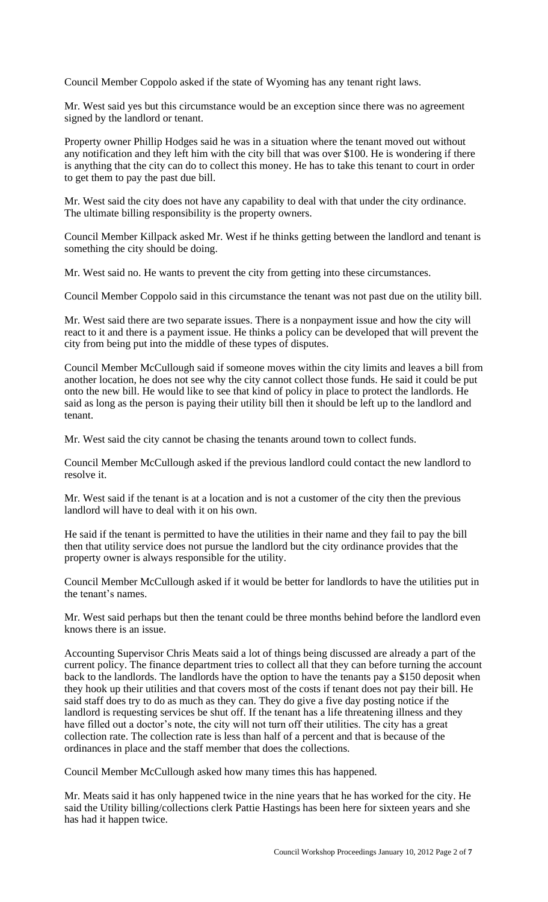Council Member Coppolo asked if the state of Wyoming has any tenant right laws.

Mr. West said yes but this circumstance would be an exception since there was no agreement signed by the landlord or tenant.

Property owner Phillip Hodges said he was in a situation where the tenant moved out without any notification and they left him with the city bill that was over \$100. He is wondering if there is anything that the city can do to collect this money. He has to take this tenant to court in order to get them to pay the past due bill.

Mr. West said the city does not have any capability to deal with that under the city ordinance. The ultimate billing responsibility is the property owners.

Council Member Killpack asked Mr. West if he thinks getting between the landlord and tenant is something the city should be doing.

Mr. West said no. He wants to prevent the city from getting into these circumstances.

Council Member Coppolo said in this circumstance the tenant was not past due on the utility bill.

Mr. West said there are two separate issues. There is a nonpayment issue and how the city will react to it and there is a payment issue. He thinks a policy can be developed that will prevent the city from being put into the middle of these types of disputes.

Council Member McCullough said if someone moves within the city limits and leaves a bill from another location, he does not see why the city cannot collect those funds. He said it could be put onto the new bill. He would like to see that kind of policy in place to protect the landlords. He said as long as the person is paying their utility bill then it should be left up to the landlord and tenant.

Mr. West said the city cannot be chasing the tenants around town to collect funds.

Council Member McCullough asked if the previous landlord could contact the new landlord to resolve it.

Mr. West said if the tenant is at a location and is not a customer of the city then the previous landlord will have to deal with it on his own.

He said if the tenant is permitted to have the utilities in their name and they fail to pay the bill then that utility service does not pursue the landlord but the city ordinance provides that the property owner is always responsible for the utility.

Council Member McCullough asked if it would be better for landlords to have the utilities put in the tenant's names.

Mr. West said perhaps but then the tenant could be three months behind before the landlord even knows there is an issue.

Accounting Supervisor Chris Meats said a lot of things being discussed are already a part of the current policy. The finance department tries to collect all that they can before turning the account back to the landlords. The landlords have the option to have the tenants pay a \$150 deposit when they hook up their utilities and that covers most of the costs if tenant does not pay their bill. He said staff does try to do as much as they can. They do give a five day posting notice if the landlord is requesting services be shut off. If the tenant has a life threatening illness and they have filled out a doctor's note, the city will not turn off their utilities. The city has a great collection rate. The collection rate is less than half of a percent and that is because of the ordinances in place and the staff member that does the collections.

Council Member McCullough asked how many times this has happened.

Mr. Meats said it has only happened twice in the nine years that he has worked for the city. He said the Utility billing/collections clerk Pattie Hastings has been here for sixteen years and she has had it happen twice.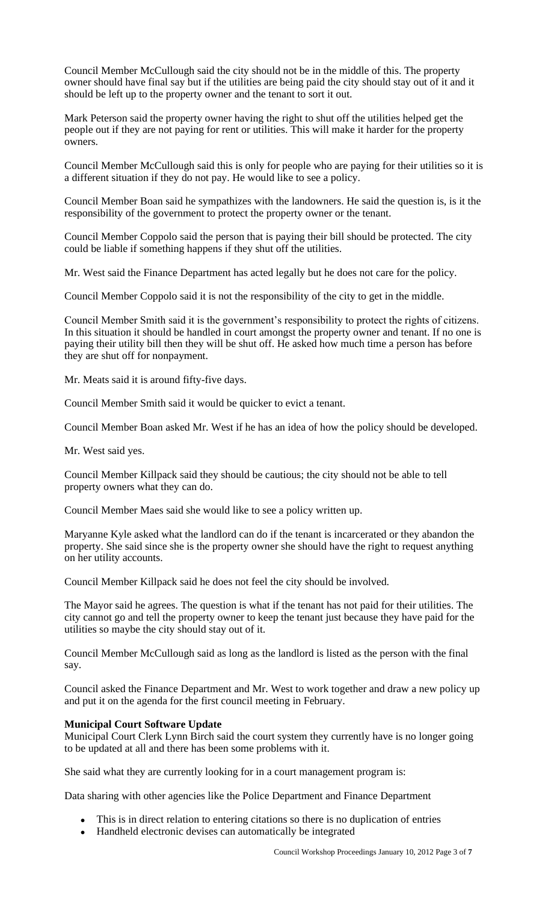Council Member McCullough said the city should not be in the middle of this. The property owner should have final say but if the utilities are being paid the city should stay out of it and it should be left up to the property owner and the tenant to sort it out.

Mark Peterson said the property owner having the right to shut off the utilities helped get the people out if they are not paying for rent or utilities. This will make it harder for the property owners.

Council Member McCullough said this is only for people who are paying for their utilities so it is a different situation if they do not pay. He would like to see a policy.

Council Member Boan said he sympathizes with the landowners. He said the question is, is it the responsibility of the government to protect the property owner or the tenant.

Council Member Coppolo said the person that is paying their bill should be protected. The city could be liable if something happens if they shut off the utilities.

Mr. West said the Finance Department has acted legally but he does not care for the policy.

Council Member Coppolo said it is not the responsibility of the city to get in the middle.

Council Member Smith said it is the government's responsibility to protect the rights of citizens. In this situation it should be handled in court amongst the property owner and tenant. If no one is paying their utility bill then they will be shut off. He asked how much time a person has before they are shut off for nonpayment.

Mr. Meats said it is around fifty-five days.

Council Member Smith said it would be quicker to evict a tenant.

Council Member Boan asked Mr. West if he has an idea of how the policy should be developed.

Mr. West said yes.

Council Member Killpack said they should be cautious; the city should not be able to tell property owners what they can do.

Council Member Maes said she would like to see a policy written up.

Maryanne Kyle asked what the landlord can do if the tenant is incarcerated or they abandon the property. She said since she is the property owner she should have the right to request anything on her utility accounts.

Council Member Killpack said he does not feel the city should be involved.

The Mayor said he agrees. The question is what if the tenant has not paid for their utilities. The city cannot go and tell the property owner to keep the tenant just because they have paid for the utilities so maybe the city should stay out of it.

Council Member McCullough said as long as the landlord is listed as the person with the final say.

Council asked the Finance Department and Mr. West to work together and draw a new policy up and put it on the agenda for the first council meeting in February.

#### **Municipal Court Software Update**

Municipal Court Clerk Lynn Birch said the court system they currently have is no longer going to be updated at all and there has been some problems with it.

She said what they are currently looking for in a court management program is:

Data sharing with other agencies like the Police Department and Finance Department

- This is in direct relation to entering citations so there is no duplication of entries
- Handheld electronic devises can automatically be integrated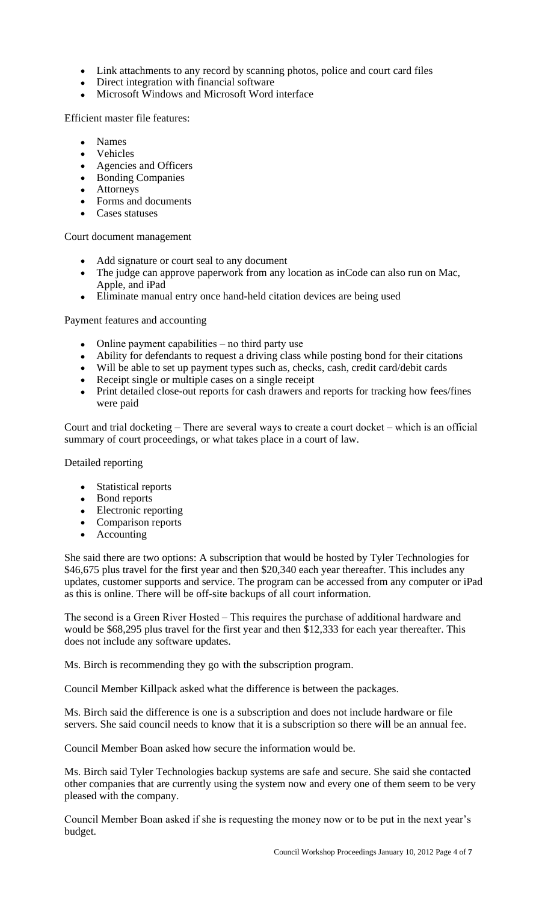- Link attachments to any record by scanning photos, police and court card files
- Direct integration with financial software
- Microsoft Windows and Microsoft Word interface

Efficient master file features:

- Names
- Vehicles
- Agencies and Officers
- Bonding Companies
- Attorneys
- Forms and documents
- Cases statuses

Court document management

- Add signature or court seal to any document
- The judge can approve paperwork from any location as inCode can also run on Mac, Apple, and iPad
- Eliminate manual entry once hand-held citation devices are being used

Payment features and accounting

- Online payment capabilities no third party use
- Ability for defendants to request a driving class while posting bond for their citations
- Will be able to set up payment types such as, checks, cash, credit card/debit cards
- Receipt single or multiple cases on a single receipt
- Print detailed close-out reports for cash drawers and reports for tracking how fees/fines were paid

Court and trial docketing – There are several ways to create a court docket – which is an official summary of court proceedings, or what takes place in a court of law.

Detailed reporting

- Statistical reports
- Bond reports
- Electronic reporting
- Comparison reports
- Accounting

She said there are two options: A subscription that would be hosted by Tyler Technologies for \$46,675 plus travel for the first year and then \$20,340 each year thereafter. This includes any updates, customer supports and service. The program can be accessed from any computer or iPad as this is online. There will be off-site backups of all court information.

The second is a Green River Hosted – This requires the purchase of additional hardware and would be \$68,295 plus travel for the first year and then \$12,333 for each year thereafter. This does not include any software updates.

Ms. Birch is recommending they go with the subscription program.

Council Member Killpack asked what the difference is between the packages.

Ms. Birch said the difference is one is a subscription and does not include hardware or file servers. She said council needs to know that it is a subscription so there will be an annual fee.

Council Member Boan asked how secure the information would be.

Ms. Birch said Tyler Technologies backup systems are safe and secure. She said she contacted other companies that are currently using the system now and every one of them seem to be very pleased with the company.

Council Member Boan asked if she is requesting the money now or to be put in the next year's budget.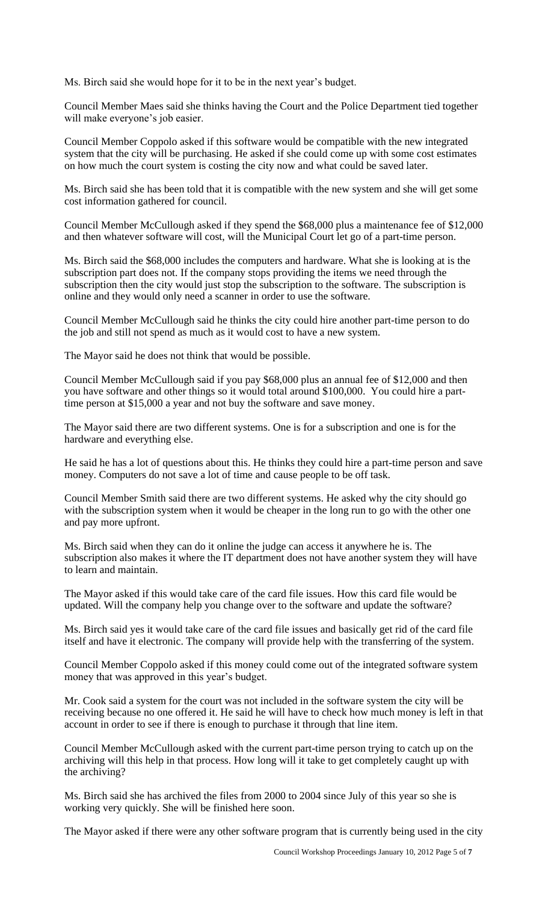Ms. Birch said she would hope for it to be in the next year's budget.

Council Member Maes said she thinks having the Court and the Police Department tied together will make everyone's job easier.

Council Member Coppolo asked if this software would be compatible with the new integrated system that the city will be purchasing. He asked if she could come up with some cost estimates on how much the court system is costing the city now and what could be saved later.

Ms. Birch said she has been told that it is compatible with the new system and she will get some cost information gathered for council.

Council Member McCullough asked if they spend the \$68,000 plus a maintenance fee of \$12,000 and then whatever software will cost, will the Municipal Court let go of a part-time person.

Ms. Birch said the \$68,000 includes the computers and hardware. What she is looking at is the subscription part does not. If the company stops providing the items we need through the subscription then the city would just stop the subscription to the software. The subscription is online and they would only need a scanner in order to use the software.

Council Member McCullough said he thinks the city could hire another part-time person to do the job and still not spend as much as it would cost to have a new system.

The Mayor said he does not think that would be possible.

Council Member McCullough said if you pay \$68,000 plus an annual fee of \$12,000 and then you have software and other things so it would total around \$100,000. You could hire a parttime person at \$15,000 a year and not buy the software and save money.

The Mayor said there are two different systems. One is for a subscription and one is for the hardware and everything else.

He said he has a lot of questions about this. He thinks they could hire a part-time person and save money. Computers do not save a lot of time and cause people to be off task.

Council Member Smith said there are two different systems. He asked why the city should go with the subscription system when it would be cheaper in the long run to go with the other one and pay more upfront.

Ms. Birch said when they can do it online the judge can access it anywhere he is. The subscription also makes it where the IT department does not have another system they will have to learn and maintain.

The Mayor asked if this would take care of the card file issues. How this card file would be updated. Will the company help you change over to the software and update the software?

Ms. Birch said yes it would take care of the card file issues and basically get rid of the card file itself and have it electronic. The company will provide help with the transferring of the system.

Council Member Coppolo asked if this money could come out of the integrated software system money that was approved in this year's budget.

Mr. Cook said a system for the court was not included in the software system the city will be receiving because no one offered it. He said he will have to check how much money is left in that account in order to see if there is enough to purchase it through that line item.

Council Member McCullough asked with the current part-time person trying to catch up on the archiving will this help in that process. How long will it take to get completely caught up with the archiving?

Ms. Birch said she has archived the files from 2000 to 2004 since July of this year so she is working very quickly. She will be finished here soon.

The Mayor asked if there were any other software program that is currently being used in the city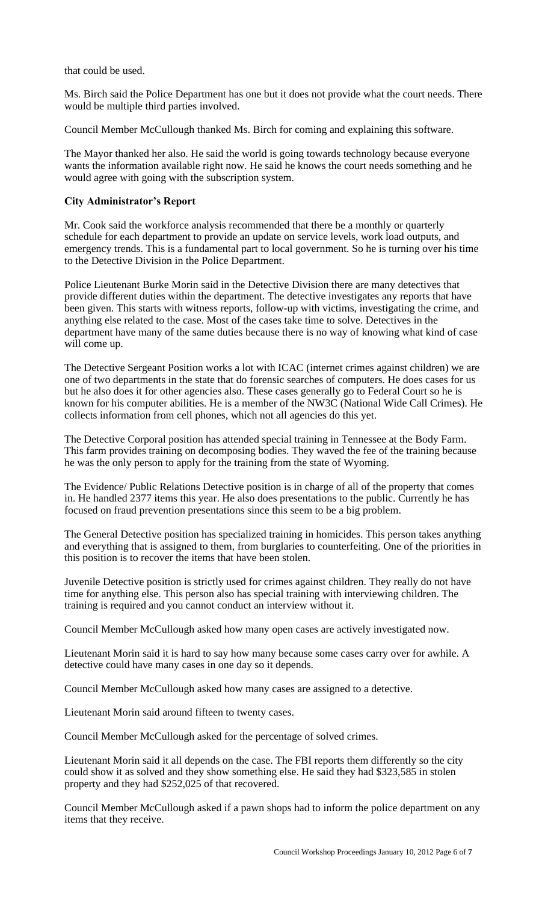that could be used.

Ms. Birch said the Police Department has one but it does not provide what the court needs. There would be multiple third parties involved.

Council Member McCullough thanked Ms. Birch for coming and explaining this software.

The Mayor thanked her also. He said the world is going towards technology because everyone wants the information available right now. He said he knows the court needs something and he would agree with going with the subscription system.

## **City Administrator's Report**

Mr. Cook said the workforce analysis recommended that there be a monthly or quarterly schedule for each department to provide an update on service levels, work load outputs, and emergency trends. This is a fundamental part to local government. So he is turning over his time to the Detective Division in the Police Department.

Police Lieutenant Burke Morin said in the Detective Division there are many detectives that provide different duties within the department. The detective investigates any reports that have been given. This starts with witness reports, follow-up with victims, investigating the crime, and anything else related to the case. Most of the cases take time to solve. Detectives in the department have many of the same duties because there is no way of knowing what kind of case will come up.

The Detective Sergeant Position works a lot with ICAC (internet crimes against children) we are one of two departments in the state that do forensic searches of computers. He does cases for us but he also does it for other agencies also. These cases generally go to Federal Court so he is known for his computer abilities. He is a member of the NW3C (National Wide Call Crimes). He collects information from cell phones, which not all agencies do this yet.

The Detective Corporal position has attended special training in Tennessee at the Body Farm. This farm provides training on decomposing bodies. They waved the fee of the training because he was the only person to apply for the training from the state of Wyoming.

The Evidence/ Public Relations Detective position is in charge of all of the property that comes in. He handled 2377 items this year. He also does presentations to the public. Currently he has focused on fraud prevention presentations since this seem to be a big problem.

The General Detective position has specialized training in homicides. This person takes anything and everything that is assigned to them, from burglaries to counterfeiting. One of the priorities in this position is to recover the items that have been stolen.

Juvenile Detective position is strictly used for crimes against children. They really do not have time for anything else. This person also has special training with interviewing children. The training is required and you cannot conduct an interview without it.

Council Member McCullough asked how many open cases are actively investigated now.

Lieutenant Morin said it is hard to say how many because some cases carry over for awhile. A detective could have many cases in one day so it depends.

Council Member McCullough asked how many cases are assigned to a detective.

Lieutenant Morin said around fifteen to twenty cases.

Council Member McCullough asked for the percentage of solved crimes.

Lieutenant Morin said it all depends on the case. The FBI reports them differently so the city could show it as solved and they show something else. He said they had \$323,585 in stolen property and they had \$252,025 of that recovered.

Council Member McCullough asked if a pawn shops had to inform the police department on any items that they receive.